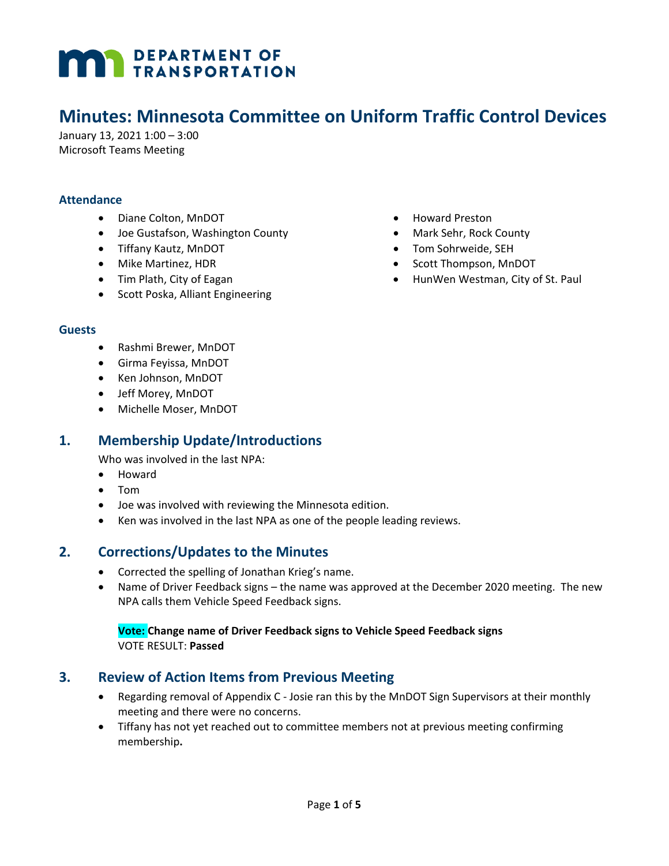# **MAN DEPARTMENT OF TRANSPORTATION**

# **Minutes: Minnesota Committee on Uniform Traffic Control Devices**

January 13, 2021 1:00 – 3:00 Microsoft Teams Meeting

#### **Attendance**

- Diane Colton, MnDOT
- Joe Gustafson, Washington County
- Tiffany Kautz, MnDOT
- Mike Martinez, HDR
- Tim Plath, City of Eagan
- Scott Poska, Alliant Engineering
- Howard Preston
- Mark Sehr, Rock County
- Tom Sohrweide, SEH
- Scott Thompson, MnDOT
- HunWen Westman, City of St. Paul

#### **Guests**

- Rashmi Brewer, MnDOT
- Girma Feyissa, MnDOT
- Ken Johnson, MnDOT
- Jeff Morey, MnDOT
- Michelle Moser, MnDOT

## **1. Membership Update/Introductions**

Who was involved in the last NPA:

- Howard
- Tom
- Joe was involved with reviewing the Minnesota edition.
- Ken was involved in the last NPA as one of the people leading reviews.

### **2. Corrections/Updates to the Minutes**

- Corrected the spelling of Jonathan Krieg's name.
- Name of Driver Feedback signs the name was approved at the December 2020 meeting. The new NPA calls them Vehicle Speed Feedback signs.

#### **Vote: Change name of Driver Feedback signs to Vehicle Speed Feedback signs** VOTE RESULT: **Passed**

## **3. Review of Action Items from Previous Meeting**

- Regarding removal of Appendix C Josie ran this by the MnDOT Sign Supervisors at their monthly meeting and there were no concerns.
- Tiffany has not yet reached out to committee members not at previous meeting confirming membership**.**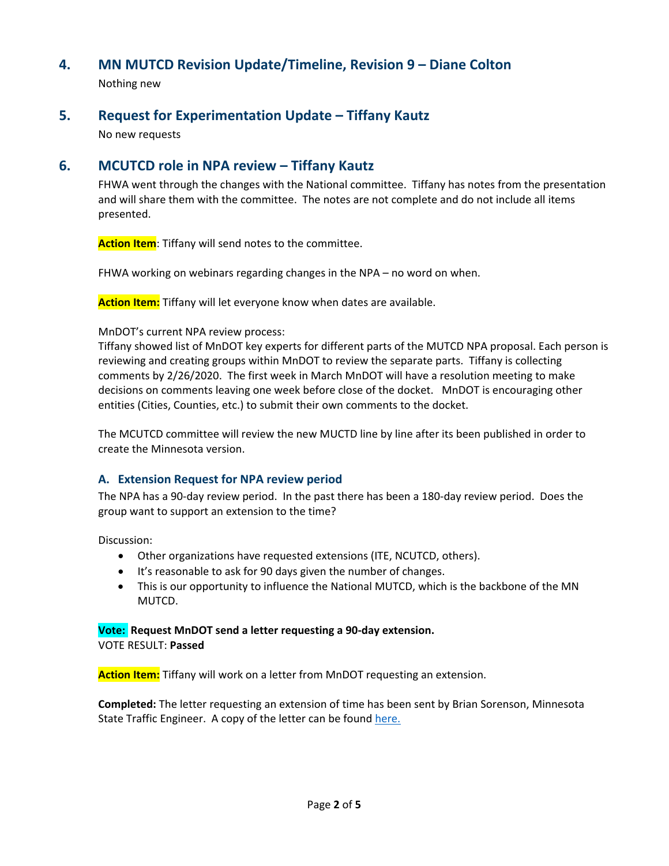# **4. MN MUTCD Revision Update/Timeline, Revision 9 – Diane Colton**

Nothing new

## **5. Request for Experimentation Update – Tiffany Kautz**

No new requests

# **6. MCUTCD role in NPA review – Tiffany Kautz**

FHWA went through the changes with the National committee. Tiffany has notes from the presentation and will share them with the committee. The notes are not complete and do not include all items presented.

**Action Item**: Tiffany will send notes to the committee.

FHWA working on webinars regarding changes in the NPA – no word on when.

**Action Item:** Tiffany will let everyone know when dates are available.

#### MnDOT's current NPA review process:

Tiffany showed list of MnDOT key experts for different parts of the MUTCD NPA proposal. Each person is reviewing and creating groups within MnDOT to review the separate parts. Tiffany is collecting comments by 2/26/2020. The first week in March MnDOT will have a resolution meeting to make decisions on comments leaving one week before close of the docket. MnDOT is encouraging other entities (Cities, Counties, etc.) to submit their own comments to the docket.

The MCUTCD committee will review the new MUCTD line by line after its been published in order to create the Minnesota version.

#### **A. Extension Request for NPA review period**

The NPA has a 90-day review period. In the past there has been a 180-day review period. Does the group want to support an extension to the time?

Discussion:

- Other organizations have requested extensions (ITE, NCUTCD, others).
- It's reasonable to ask for 90 days given the number of changes.
- This is our opportunity to influence the National MUTCD, which is the backbone of the MN MUTCD.

#### **Vote: Request MnDOT send a letter requesting a 90-day extension.** VOTE RESULT: **Passed**

**Action Item:** Tiffany will work on a letter from MnDOT requesting an extension.

**Completed:** The letter requesting an extension of time has been sent by Brian Sorenson, Minnesota State Traffic Engineer. A copy of the letter can be found [here.](http://www.dot.state.mn.us/trafficeng/publ/mutcd/mnmutcd2020/letter-to-fhwa-for-docket-extension-mndot.pdf)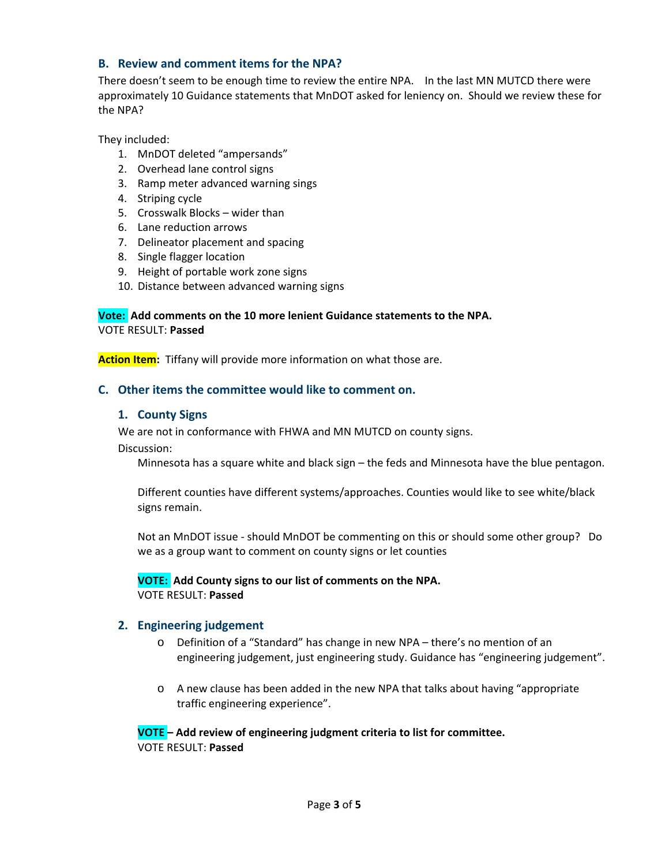#### **B. Review and comment items for the NPA?**

There doesn't seem to be enough time to review the entire NPA. In the last MN MUTCD there were approximately 10 Guidance statements that MnDOT asked for leniency on. Should we review these for the NPA?

They included:

- 1. MnDOT deleted "ampersands"
- 2. Overhead lane control signs
- 3. Ramp meter advanced warning sings
- 4. Striping cycle
- 5. Crosswalk Blocks wider than
- 6. Lane reduction arrows
- 7. Delineator placement and spacing
- 8. Single flagger location
- 9. Height of portable work zone signs
- 10. Distance between advanced warning signs

#### **Vote: Add comments on the 10 more lenient Guidance statements to the NPA.** VOTE RESULT: **Passed**

**Action Item:** Tiffany will provide more information on what those are.

#### **C. Other items the committee would like to comment on.**

#### **1. County Signs**

We are not in conformance with FHWA and MN MUTCD on county signs.

Discussion:

Minnesota has a square white and black sign – the feds and Minnesota have the blue pentagon.

Different counties have different systems/approaches. Counties would like to see white/black signs remain.

Not an MnDOT issue - should MnDOT be commenting on this or should some other group? Do we as a group want to comment on county signs or let counties

**VOTE: Add County signs to our list of comments on the NPA.** VOTE RESULT: **Passed**

#### **2. Engineering judgement**

- o Definition of a "Standard" has change in new NPA there's no mention of an engineering judgement, just engineering study. Guidance has "engineering judgement".
- o A new clause has been added in the new NPA that talks about having "appropriate traffic engineering experience".

**VOTE – Add review of engineering judgment criteria to list for committee.** VOTE RESULT: **Passed**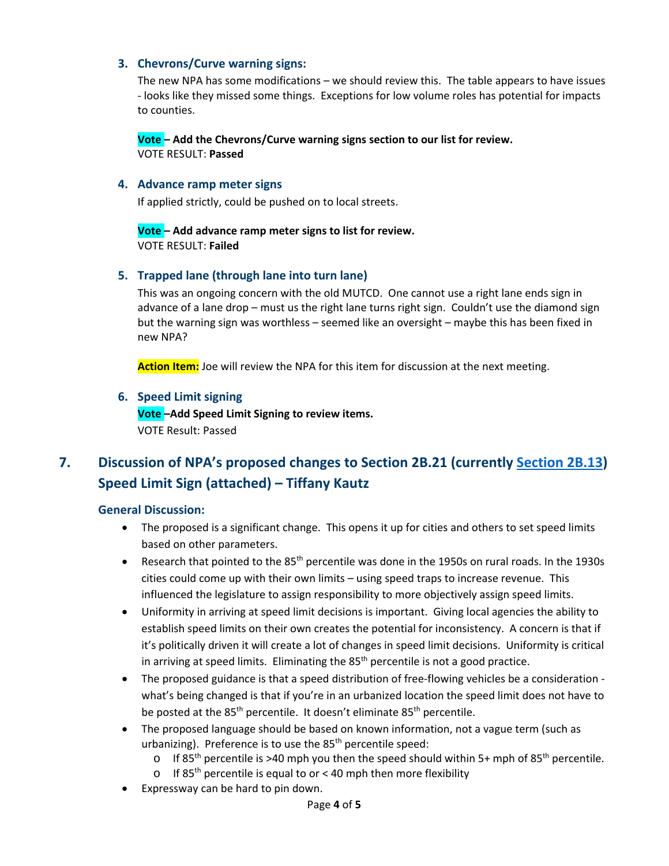#### **3. Chevrons/Curve warning signs:**

The new NPA has some modifications – we should review this. The table appears to have issues - looks like they missed some things. Exceptions for low volume roles has potential for impacts to counties.

**Vote – Add the Chevrons/Curve warning signs section to our list for review.** VOTE RESULT: **Passed**

#### **4. Advance ramp meter signs**

If applied strictly, could be pushed on to local streets.

**Vote – Add advance ramp meter signs to list for review.** VOTE RESULT: **Failed**

#### **5. Trapped lane (through lane into turn lane)**

This was an ongoing concern with the old MUTCD. One cannot use a right lane ends sign in advance of a lane drop – must us the right lane turns right sign. Couldn't use the diamond sign but the warning sign was worthless – seemed like an oversight – maybe this has been fixed in new NPA?

**Action Item:** Joe will review the NPA for this item for discussion at the next meeting.

#### **6. Speed Limit signing**

**Vote –Add Speed Limit Signing to review items.** VOTE Result: Passed

# **7. Discussion of NPA's proposed changes to Section 2B.21 (currently [Section 2B.13\)](http://www.dot.state.mn.us/trafficeng/publ/mutcd/mnmutcd2020/mnmutcd-2b.pdf#page=18) Speed Limit Sign (attached) – Tiffany Kautz**

#### **General Discussion:**

- The proposed is a significant change. This opens it up for cities and others to set speed limits based on other parameters.
- Research that pointed to the  $85<sup>th</sup>$  percentile was done in the 1950s on rural roads. In the 1930s cities could come up with their own limits – using speed traps to increase revenue. This influenced the legislature to assign responsibility to more objectively assign speed limits.
- Uniformity in arriving at speed limit decisions is important. Giving local agencies the ability to establish speed limits on their own creates the potential for inconsistency. A concern is that if it's politically driven it will create a lot of changes in speed limit decisions. Uniformity is critical in arriving at speed limits. Eliminating the  $85<sup>th</sup>$  percentile is not a good practice.
- The proposed guidance is that a speed distribution of free-flowing vehicles be a consideration what's being changed is that if you're in an urbanized location the speed limit does not have to be posted at the 85<sup>th</sup> percentile. It doesn't eliminate 85<sup>th</sup> percentile.
- The proposed language should be based on known information, not a vague term (such as urbanizing). Preference is to use the  $85<sup>th</sup>$  percentile speed:
	- o If 85<sup>th</sup> percentile is >40 mph you then the speed should within 5+ mph of 85<sup>th</sup> percentile.
	- o If 85<sup>th</sup> percentile is equal to or < 40 mph then more flexibility
- Expressway can be hard to pin down.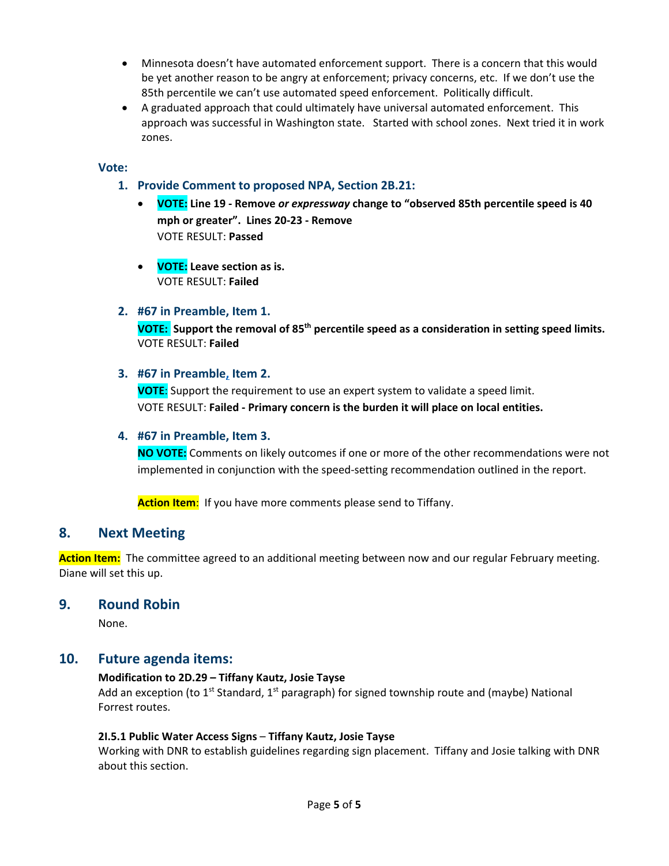- Minnesota doesn't have automated enforcement support. There is a concern that this would be yet another reason to be angry at enforcement; privacy concerns, etc. If we don't use the 85th percentile we can't use automated speed enforcement. Politically difficult.
- A graduated approach that could ultimately have universal automated enforcement. This approach was successful in Washington state. Started with school zones. Next tried it in work zones.

#### **Vote:**

- **1. Provide Comment to proposed NPA, Section 2B.21:** 
	- **VOTE: Line 19 - Remove** *or expressway* **change to "observed 85th percentile speed is 40 mph or greater". Lines 20-23 - Remove** VOTE RESULT: **Passed**
	- **VOTE: Leave section as is.** VOTE RESULT: **Failed**

#### **2. #67 in Preamble, Item 1.**

**VOTE: Support the removal of 85th percentile speed as a consideration in setting speed limits.** VOTE RESULT: **Failed**

#### **3. #67 in Preamble, Item 2.**

**VOTE**: Support the requirement to use an expert system to validate a speed limit. VOTE RESULT: **Failed - Primary concern is the burden it will place on local entities.**

#### **4. #67 in Preamble, Item 3.**

**NO VOTE:** Comments on likely outcomes if one or more of the other recommendations were not implemented in conjunction with the speed-setting recommendation outlined in the report.

**Action Item**: If you have more comments please send to Tiffany.

#### **8. Next Meeting**

**Action Item:** The committee agreed to an additional meeting between now and our regular February meeting. Diane will set this up.

#### **9. Round Robin**

None.

#### **10. Future agenda items:**

#### **Modification to 2D.29 – Tiffany Kautz, Josie Tayse**

Add an exception (to 1<sup>st</sup> Standard, 1<sup>st</sup> paragraph) for signed township route and (maybe) National Forrest routes.

#### **2I.5.1 Public Water Access Signs** – **Tiffany Kautz, Josie Tayse**

Working with DNR to establish guidelines regarding sign placement. Tiffany and Josie talking with DNR about this section.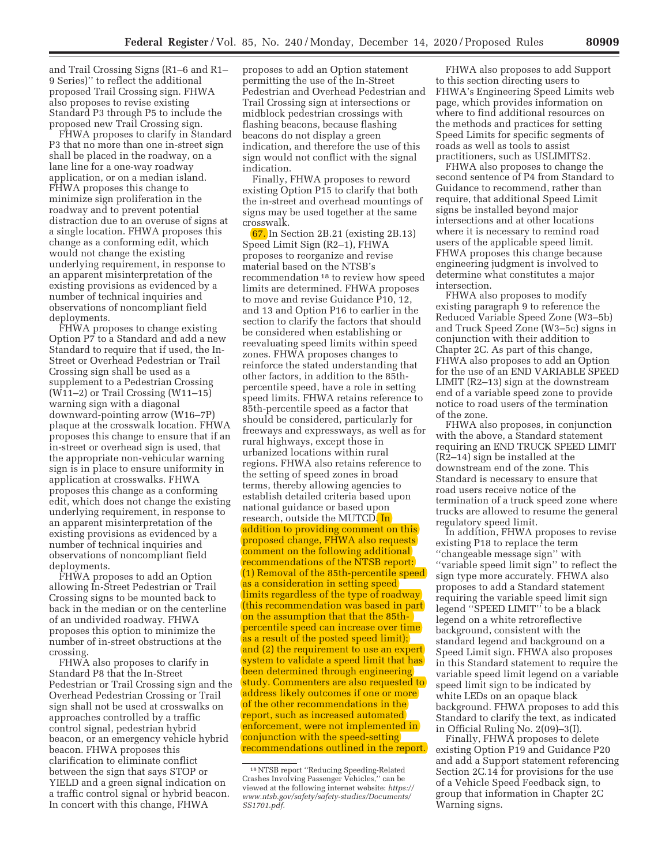and Trail Crossing Signs (R1–6 and R1– 9 Series)'' to reflect the additional proposed Trail Crossing sign. FHWA also proposes to revise existing Standard P3 through P5 to include the proposed new Trail Crossing sign.

FHWA proposes to clarify in Standard P3 that no more than one in-street sign shall be placed in the roadway, on a lane line for a one-way roadway application, or on a median island. FHWA proposes this change to minimize sign proliferation in the roadway and to prevent potential distraction due to an overuse of signs at a single location. FHWA proposes this change as a conforming edit, which would not change the existing underlying requirement, in response to an apparent misinterpretation of the existing provisions as evidenced by a number of technical inquiries and observations of noncompliant field deployments.

FHWA proposes to change existing Option P7 to a Standard and add a new Standard to require that if used, the In-Street or Overhead Pedestrian or Trail Crossing sign shall be used as a supplement to a Pedestrian Crossing  $(W11-2)$  or Trail Crossing  $(W11-15)$ warning sign with a diagonal downward-pointing arrow (W16–7P) plaque at the crosswalk location. FHWA proposes this change to ensure that if an in-street or overhead sign is used, that the appropriate non-vehicular warning sign is in place to ensure uniformity in application at crosswalks. FHWA proposes this change as a conforming edit, which does not change the existing underlying requirement, in response to an apparent misinterpretation of the existing provisions as evidenced by a number of technical inquiries and observations of noncompliant field deployments.

FHWA proposes to add an Option allowing In-Street Pedestrian or Trail Crossing signs to be mounted back to back in the median or on the centerline of an undivided roadway. FHWA proposes this option to minimize the number of in-street obstructions at the crossing.

FHWA also proposes to clarify in Standard P8 that the In-Street Pedestrian or Trail Crossing sign and the Overhead Pedestrian Crossing or Trail sign shall not be used at crosswalks on approaches controlled by a traffic control signal, pedestrian hybrid beacon, or an emergency vehicle hybrid beacon. FHWA proposes this clarification to eliminate conflict between the sign that says STOP or YIELD and a green signal indication on a traffic control signal or hybrid beacon. In concert with this change, FHWA

proposes to add an Option statement permitting the use of the In-Street Pedestrian and Overhead Pedestrian and Trail Crossing sign at intersections or midblock pedestrian crossings with flashing beacons, because flashing beacons do not display a green indication, and therefore the use of this sign would not conflict with the signal indication.

Finally, FHWA proposes to reword existing Option P15 to clarify that both the in-street and overhead mountings of signs may be used together at the same crosswalk.

67. In Section 2B.21 (existing 2B.13) Speed Limit Sign (R2–1), FHWA proposes to reorganize and revise material based on the NTSB's recommendation 18 to review how speed limits are determined. FHWA proposes to move and revise Guidance P10, 12, and 13 and Option P16 to earlier in the section to clarify the factors that should be considered when establishing or reevaluating speed limits within speed zones. FHWA proposes changes to reinforce the stated understanding that other factors, in addition to the 85thpercentile speed, have a role in setting speed limits. FHWA retains reference to 85th-percentile speed as a factor that should be considered, particularly for freeways and expressways, as well as for rural highways, except those in urbanized locations within rural regions. FHWA also retains reference to the setting of speed zones in broad terms, thereby allowing agencies to establish detailed criteria based upon national guidance or based upon research, outside the MUTCD. In addition to providing comment on this proposed change, FHWA also requests comment on the following additional recommendations of the NTSB report: (1) Removal of the 85th-percentile speed as a consideration in setting speed limits regardless of the type of roadway (this recommendation was based in part on the assumption that that the 85thpercentile speed can increase over time as a result of the posted speed limit); and (2) the requirement to use an expert system to validate a speed limit that has been determined through engineering study. Commenters are also requested to address likely outcomes if one or more of the other recommendations in the report, such as increased automated enforcement, were not implemented in conjunction with the speed-setting recommendations outlined in the report.

FHWA also proposes to add Support to this section directing users to FHWA's Engineering Speed Limits web page, which provides information on where to find additional resources on the methods and practices for setting Speed Limits for specific segments of roads as well as tools to assist practitioners, such as USLIMITS2.

FHWA also proposes to change the second sentence of P4 from Standard to Guidance to recommend, rather than require, that additional Speed Limit signs be installed beyond major intersections and at other locations where it is necessary to remind road users of the applicable speed limit. FHWA proposes this change because engineering judgment is involved to determine what constitutes a major intersection.

FHWA also proposes to modify existing paragraph 9 to reference the Reduced Variable Speed Zone (W3–5b) and Truck Speed Zone (W3–5c) signs in conjunction with their addition to Chapter 2C. As part of this change, FHWA also proposes to add an Option for the use of an END VARIABLE SPEED LIMIT (R2–13) sign at the downstream end of a variable speed zone to provide notice to road users of the termination of the zone.

FHWA also proposes, in conjunction with the above, a Standard statement requiring an END TRUCK SPEED LIMIT (R2–14) sign be installed at the downstream end of the zone. This Standard is necessary to ensure that road users receive notice of the termination of a truck speed zone where trucks are allowed to resume the general regulatory speed limit.

In addition, FHWA proposes to revise existing P18 to replace the term ''changeable message sign'' with ''variable speed limit sign'' to reflect the sign type more accurately. FHWA also proposes to add a Standard statement requiring the variable speed limit sign legend ''SPEED LIMIT'' to be a black legend on a white retroreflective background, consistent with the standard legend and background on a Speed Limit sign. FHWA also proposes in this Standard statement to require the variable speed limit legend on a variable speed limit sign to be indicated by white LEDs on an opaque black background. FHWA proposes to add this Standard to clarify the text, as indicated in Official Ruling No. 2(09)–3(I).

Finally, FHWA proposes to delete existing Option P19 and Guidance P20 and add a Support statement referencing Section 2C.14 for provisions for the use of a Vehicle Speed Feedback sign, to group that information in Chapter 2C Warning signs.

<sup>18</sup>NTSB report ''Reducing Speeding-Related Crashes Involving Passenger Vehicles,'' can be viewed at the following internet website: *https:// www.ntsb.gov/safety/safety-studies/Documents/ SS1701.pdf.*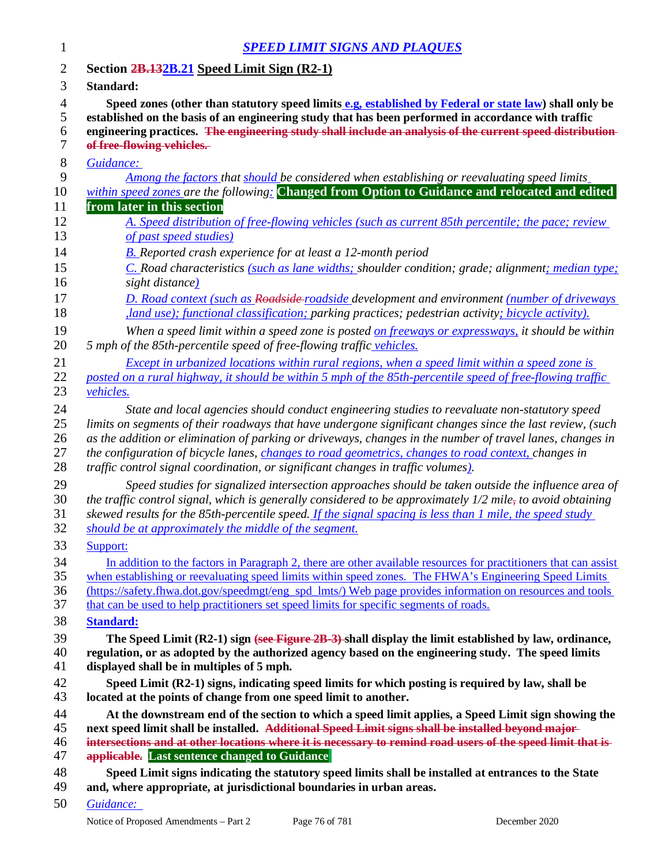| 1              | <b>SPEED LIMIT SIGNS AND PLAQUES</b>                                                                             |
|----------------|------------------------------------------------------------------------------------------------------------------|
| $\overline{2}$ | Section 2B.132B.21 Speed Limit Sign (R2-1)                                                                       |
| 3              | Standard:                                                                                                        |
| $\overline{4}$ | Speed zones (other than statutory speed limits e.g, established by Federal or state law) shall only be           |
| $\mathfrak{S}$ | established on the basis of an engineering study that has been performed in accordance with traffic              |
| 6              | engineering practices. The engineering study shall include an analysis of the current speed distribution-        |
| 7              | of free-flowing vehicles.                                                                                        |
| $8\,$          | Guidance:                                                                                                        |
| 9              | Among the factors that should be considered when establishing or reevaluating speed limits                       |
| 10             | within speed zones are the following: Changed from Option to Guidance and relocated and edited                   |
| 11             | from later in this section                                                                                       |
| 12             | A. Speed distribution of free-flowing vehicles (such as current 85th percentile; the pace; review                |
| 13             | of past speed studies)                                                                                           |
| 14             | <b>B.</b> Reported crash experience for at least a 12-month period                                               |
| 15             | C. Road characteristics (such as lane widths; shoulder condition; grade; alignment; median type;                 |
| 16             | sight distance)                                                                                                  |
| 17             | <b>D. Road context (such as Roadside-poadside development and environment (number of driveways</b>               |
| 18             | <i>land use); functional classification; parking practices; pedestrian activity; bicycle activity).</i>          |
| 19             | When a speed limit within a speed zone is posted on freeways or expressways, it should be within                 |
| 20             | 5 mph of the 85th-percentile speed of free-flowing traffic vehicles.                                             |
| 21             | Except in urbanized locations within rural regions, when a speed limit within a speed zone is                    |
| 22             | posted on a rural highway, it should be within 5 mph of the 85th-percentile speed of free-flowing traffic        |
| 23             | vehicles.                                                                                                        |
| 24             | State and local agencies should conduct engineering studies to reevaluate non-statutory speed                    |
| 25             | limits on segments of their roadways that have undergone significant changes since the last review, (such        |
| 26             | as the addition or elimination of parking or driveways, changes in the number of travel lanes, changes in        |
| 27             | the configuration of bicycle lanes, <i>changes to road geometrics, changes to road context, changes in</i>       |
| 28             | traffic control signal coordination, or significant changes in traffic volumes).                                 |
| 29             | Speed studies for signalized intersection approaches should be taken outside the influence area of               |
| 30             | the traffic control signal, which is generally considered to be approximately $1/2$ mile, to avoid obtaining     |
| 31             | skewed results for the 85th-percentile speed. If the signal spacing is less than 1 mile, the speed study         |
| 32             | should be at approximately the middle of the segment.                                                            |
| 33             | Support:                                                                                                         |
| 34             | In addition to the factors in Paragraph 2, there are other available resources for practitioners that can assist |
| 35             | when establishing or reevaluating speed limits within speed zones. The FHWA's Engineering Speed Limits           |
| 36             | (https://safety.fhwa.dot.gov/speedmgt/eng_spd_lmts/) Web page provides information on resources and tools        |
| 37             | that can be used to help practitioners set speed limits for specific segments of roads.                          |
| 38             | <b>Standard:</b>                                                                                                 |
| 39             | The Speed Limit (R2-1) sign (see Figure 2B-3)-shall display the limit established by law, ordinance,             |
| 40             | regulation, or as adopted by the authorized agency based on the engineering study. The speed limits              |
| 41             | displayed shall be in multiples of 5 mph.                                                                        |
| 42             | Speed Limit (R2-1) signs, indicating speed limits for which posting is required by law, shall be                 |
| 43             | located at the points of change from one speed limit to another.                                                 |
| 44             | At the downstream end of the section to which a speed limit applies, a Speed Limit sign showing the              |
| 45             | next speed limit shall be installed. Additional Speed Limit signs shall be installed beyond major-               |
| 46             | intersections and at other locations where it is necessary to remind road users of the speed limit that is-      |
| 47             | <b>applicable.</b> Last sentence changed to Guidance                                                             |
| 48             | Speed Limit signs indicating the statutory speed limits shall be installed at entrances to the State             |
| 49             | and, where appropriate, at jurisdictional boundaries in urban areas.                                             |
|                |                                                                                                                  |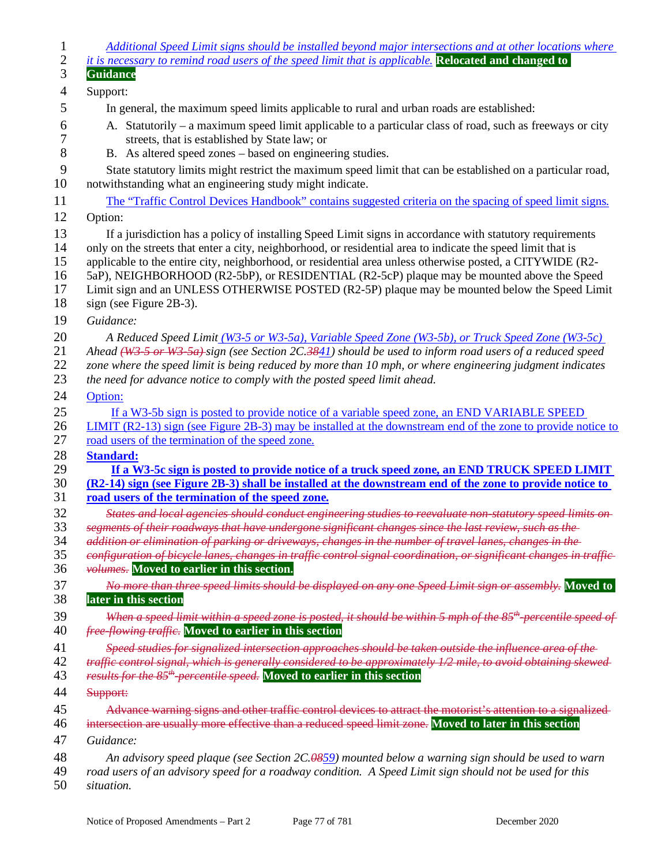| $\mathbf{1}$   | Additional Speed Limit signs should be installed beyond major intersections and at other locations where                                                                                                |
|----------------|---------------------------------------------------------------------------------------------------------------------------------------------------------------------------------------------------------|
| $\mathbf{2}$   | it is necessary to remind road users of the speed limit that is applicable. Relocated and changed to                                                                                                    |
| 3              | <b>Guidance</b>                                                                                                                                                                                         |
| $\overline{4}$ | Support:                                                                                                                                                                                                |
| 5              | In general, the maximum speed limits applicable to rural and urban roads are established:                                                                                                               |
| 6<br>7         | A. Statutorily – a maximum speed limit applicable to a particular class of road, such as freeways or city<br>streets, that is established by State law; or                                              |
| 8              | B. As altered speed zones – based on engineering studies.                                                                                                                                               |
| 9<br>10        | State statutory limits might restrict the maximum speed limit that can be established on a particular road,<br>notwithstanding what an engineering study might indicate.                                |
| 11             | The "Traffic Control Devices Handbook" contains suggested criteria on the spacing of speed limit signs.                                                                                                 |
| 12             | Option:                                                                                                                                                                                                 |
| 13             | If a jurisdiction has a policy of installing Speed Limit signs in accordance with statutory requirements                                                                                                |
| 14             | only on the streets that enter a city, neighborhood, or residential area to indicate the speed limit that is                                                                                            |
| 15             | applicable to the entire city, neighborhood, or residential area unless otherwise posted, a CITYWIDE (R2-                                                                                               |
| 16             | 5aP), NEIGHBORHOOD (R2-5bP), or RESIDENTIAL (R2-5cP) plaque may be mounted above the Speed                                                                                                              |
| 17             | Limit sign and an UNLESS OTHERWISE POSTED (R2-5P) plaque may be mounted below the Speed Limit                                                                                                           |
| 18             | sign (see Figure 2B-3).                                                                                                                                                                                 |
| 19             | Guidance:                                                                                                                                                                                               |
| 20             | A Reduced Speed Limit (W3-5 or W3-5a), Variable Speed Zone (W3-5b), or Truck Speed Zone (W3-5c)                                                                                                         |
| 21             | Ahead (W3 5 or W3 5a) sign (see Section 2C.3841) should be used to inform road users of a reduced speed                                                                                                 |
| 22<br>23       | zone where the speed limit is being reduced by more than 10 mph, or where engineering judgment indicates<br>the need for advance notice to comply with the posted speed limit ahead.                    |
| 24             | Option:                                                                                                                                                                                                 |
| 25             | If a W3-5b sign is posted to provide notice of a variable speed zone, an END VARIABLE SPEED                                                                                                             |
| 26             | LIMIT (R2-13) sign (see Figure 2B-3) may be installed at the downstream end of the zone to provide notice to                                                                                            |
| 27             | road users of the termination of the speed zone.                                                                                                                                                        |
| 28             | <b>Standard:</b>                                                                                                                                                                                        |
| 29<br>30       | If a W3-5c sign is posted to provide notice of a truck speed zone, an END TRUCK SPEED LIMIT<br>(R2-14) sign (see Figure 2B-3) shall be installed at the downstream end of the zone to provide notice to |
| 31             | road users of the termination of the speed zone.                                                                                                                                                        |
| 32             | States and local agencies should conduct engineering studies to reevaluate non-statutory speed limits on-                                                                                               |
| 33             | segments of their roadways that have undergone significant changes since the last review, such as the                                                                                                   |
| 34             | addition or elimination of parking or driveways, changes in the number of travel lanes, changes in the                                                                                                  |
| 35             | configuration of bicycle lanes, changes in traffic control signal coordination, or significant changes in traffic-                                                                                      |
| 36             | volumes. Moved to earlier in this section.                                                                                                                                                              |
| 37             | No more than three speed limits should be displayed on any one Speed Limit sign or assembly. Moved to                                                                                                   |
| 38             | later in this section                                                                                                                                                                                   |
| 39             | When a speed limit within a speed zone is posted, it should be within 5 mph of the 85 <sup>th</sup> -percentile speed of                                                                                |
| 40             | <i>free flowing traffic</i> . Moved to earlier in this section                                                                                                                                          |
| 41             | Speed studies for signalized intersection approaches should be taken outside the influence area of the                                                                                                  |
| 42             | traffic control signal, which is generally considered to be approximately 1/2 mile, to avoid obtaining skewed-                                                                                          |
| 43             | results for the 85 <sup>th</sup> -percentile speed. Moved to earlier in this section                                                                                                                    |
| 44             | Support:                                                                                                                                                                                                |
| 45             | Advance warning signs and other traffic control devices to attract the motorist's attention to a signalized-                                                                                            |
| 46             | intersection are usually more effective than a reduced speed limit zone. Moved to later in this section                                                                                                 |
| 47             | Guidance:                                                                                                                                                                                               |
| 48             | An advisory speed plaque (see Section 2C.0859) mounted below a warning sign should be used to warn                                                                                                      |
| 49             | road users of an advisory speed for a roadway condition. A Speed Limit sign should not be used for this                                                                                                 |
| 50             | situation.                                                                                                                                                                                              |
|                |                                                                                                                                                                                                         |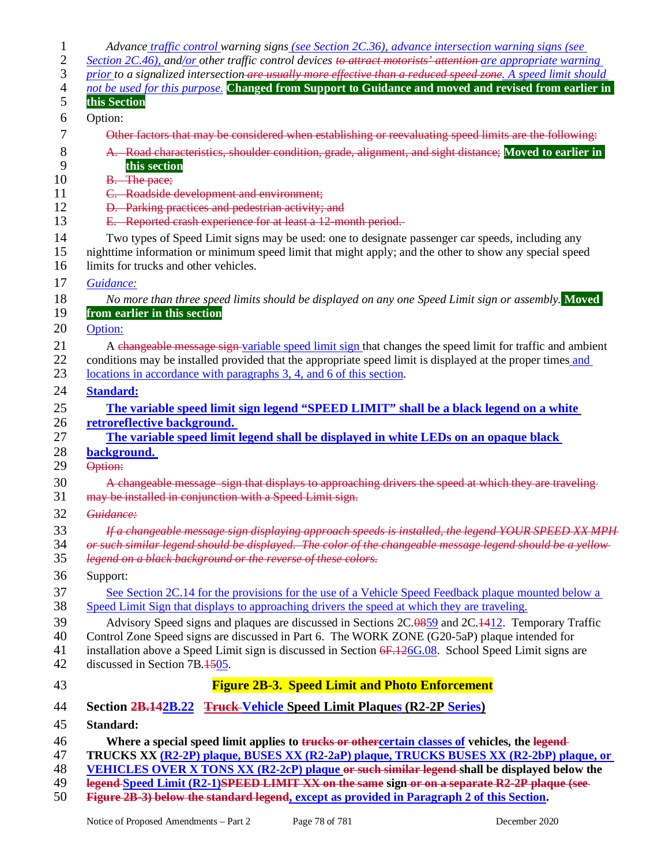| 1<br>$\overline{c}$<br>3<br>$\overline{4}$ | Advance traffic control warning signs (see Section 2C.36), advance intersection warning signs (see<br>Section 2C.46), and/or other traffic control devices to attract motorists' attention are appropriate warning<br>prior to a signalized intersection are usually more effective than a reduced speed zone. A speed limit should<br>not be used for this purpose. Changed from Support to Guidance and moved and revised from earlier in |
|--------------------------------------------|---------------------------------------------------------------------------------------------------------------------------------------------------------------------------------------------------------------------------------------------------------------------------------------------------------------------------------------------------------------------------------------------------------------------------------------------|
| 5                                          | this Section                                                                                                                                                                                                                                                                                                                                                                                                                                |
| 6                                          | Option:                                                                                                                                                                                                                                                                                                                                                                                                                                     |
| 7                                          | Other factors that may be considered when establishing or reevaluating speed limits are the following:                                                                                                                                                                                                                                                                                                                                      |
| 8<br>9                                     | A. Road characteristics, shoulder condition, grade, alignment, and sight distance; Moved to earlier in<br>this section                                                                                                                                                                                                                                                                                                                      |
| 10                                         | <b>B.</b> The pace;                                                                                                                                                                                                                                                                                                                                                                                                                         |
| 11                                         | C. Roadside development and environment;                                                                                                                                                                                                                                                                                                                                                                                                    |
| 12                                         | D. Parking practices and pedestrian activity; and                                                                                                                                                                                                                                                                                                                                                                                           |
| 13                                         | E. Reported crash experience for at least a 12-month period.                                                                                                                                                                                                                                                                                                                                                                                |
| 14<br>15<br>16                             | Two types of Speed Limit signs may be used: one to designate passenger car speeds, including any<br>nighttime information or minimum speed limit that might apply; and the other to show any special speed<br>limits for trucks and other vehicles.                                                                                                                                                                                         |
| 17                                         | Guidance:                                                                                                                                                                                                                                                                                                                                                                                                                                   |
| 18<br>19<br>20                             | No more than three speed limits should be displayed on any one Speed Limit sign or assembly. Moved<br>from earlier in this section<br>Option:                                                                                                                                                                                                                                                                                               |
| 21                                         |                                                                                                                                                                                                                                                                                                                                                                                                                                             |
| 22<br>23                                   | A changeable message sign variable speed limit sign that changes the speed limit for traffic and ambient<br>conditions may be installed provided that the appropriate speed limit is displayed at the proper times and<br>locations in accordance with paragraphs 3, 4, and 6 of this section.                                                                                                                                              |
| 24                                         | <b>Standard:</b>                                                                                                                                                                                                                                                                                                                                                                                                                            |
| 25                                         | The variable speed limit sign legend "SPEED LIMIT" shall be a black legend on a white                                                                                                                                                                                                                                                                                                                                                       |
| 26                                         | retroreflective background.                                                                                                                                                                                                                                                                                                                                                                                                                 |
| 27                                         | The variable speed limit legend shall be displayed in white LEDs on an opaque black                                                                                                                                                                                                                                                                                                                                                         |
| 28                                         | background.                                                                                                                                                                                                                                                                                                                                                                                                                                 |
| 29                                         | Option:                                                                                                                                                                                                                                                                                                                                                                                                                                     |
| 30<br>31                                   | A changeable message sign that displays to approaching drivers the speed at which they are traveling<br>may be installed in conjunction with a Speed Limit sign.                                                                                                                                                                                                                                                                            |
| 32                                         | Guidance:                                                                                                                                                                                                                                                                                                                                                                                                                                   |
| 33<br>34<br>35                             | If a changeable message sign displaying approach speeds is installed, the legend YOUR SPEED XX MPH<br>or such similar legend should be displayed. The color of the changeable message legend should be a yellow-<br>legend on a black background or the reverse of these colors.                                                                                                                                                            |
| 36                                         | Support:                                                                                                                                                                                                                                                                                                                                                                                                                                    |
| 37                                         | See Section 2C.14 for the provisions for the use of a Vehicle Speed Feedback plaque mounted below a                                                                                                                                                                                                                                                                                                                                         |
| 38                                         | Speed Limit Sign that displays to approaching drivers the speed at which they are traveling.                                                                                                                                                                                                                                                                                                                                                |
| 39                                         | Advisory Speed signs and plaques are discussed in Sections 2C.0859 and 2C.1412. Temporary Traffic                                                                                                                                                                                                                                                                                                                                           |
| 40                                         | Control Zone Speed signs are discussed in Part 6. The WORK ZONE (G20-5aP) plaque intended for                                                                                                                                                                                                                                                                                                                                               |
| 41                                         | installation above a Speed Limit sign is discussed in Section 6F.126G.08. School Speed Limit signs are                                                                                                                                                                                                                                                                                                                                      |
| 42                                         | discussed in Section 7B.1505.                                                                                                                                                                                                                                                                                                                                                                                                               |
| 43                                         | <b>Figure 2B-3. Speed Limit and Photo Enforcement</b>                                                                                                                                                                                                                                                                                                                                                                                       |
| 44                                         | Section 2B.142B.22 <del>Truck Vehicle</del> Speed Limit Plaques (R2-2P Series)                                                                                                                                                                                                                                                                                                                                                              |
| 45                                         | Standard:                                                                                                                                                                                                                                                                                                                                                                                                                                   |
| 46                                         | Where a special speed limit applies to trucks or othercertain classes of vehicles, the legend-                                                                                                                                                                                                                                                                                                                                              |
| 47                                         | TRUCKS XX (R2-2P) plaque, BUSES XX (R2-2aP) plaque, TRUCKS BUSES XX (R2-2bP) plaque, or                                                                                                                                                                                                                                                                                                                                                     |
| 48                                         | VEHICLES OVER X TONS XX (R2-2cP) plaque or such similar legend-shall be displayed below the                                                                                                                                                                                                                                                                                                                                                 |
| 49                                         | legend Speed Limit (R2-1)SPEED LIMIT XX on the same sign or on a separate R2-2P plaque (see-                                                                                                                                                                                                                                                                                                                                                |
| 50                                         | Figure 2B-3) below the standard legend, except as provided in Paragraph 2 of this Section.                                                                                                                                                                                                                                                                                                                                                  |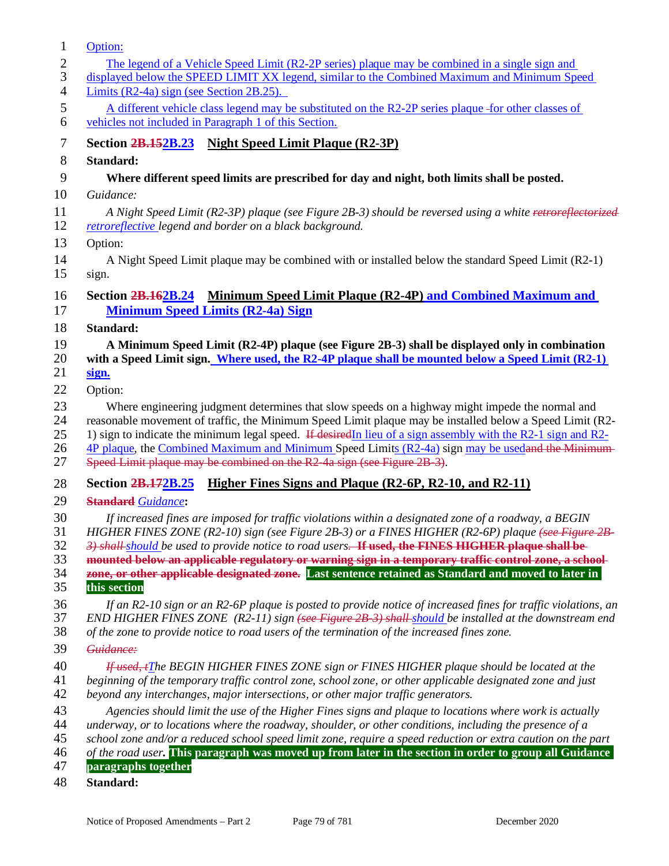| 1                    | Option:                                                                                                                                                                                                                                       |
|----------------------|-----------------------------------------------------------------------------------------------------------------------------------------------------------------------------------------------------------------------------------------------|
| $\overline{c}$       | The legend of a Vehicle Speed Limit (R2-2P series) plaque may be combined in a single sign and                                                                                                                                                |
| 3                    | displayed below the SPEED LIMIT XX legend, similar to the Combined Maximum and Minimum Speed                                                                                                                                                  |
| $\overline{4}$       | Limits $(R2-4a)$ sign (see Section 2B.25).                                                                                                                                                                                                    |
| 5                    | A different vehicle class legend may be substituted on the R2-2P series plaque-for other classes of                                                                                                                                           |
| 6                    | vehicles not included in Paragraph 1 of this Section.                                                                                                                                                                                         |
| 7                    | Section 2B.152B.23 Night Speed Limit Plaque (R2-3P)                                                                                                                                                                                           |
| 8                    | Standard:                                                                                                                                                                                                                                     |
| 9                    | Where different speed limits are prescribed for day and night, both limits shall be posted.                                                                                                                                                   |
| 10                   | Guidance:                                                                                                                                                                                                                                     |
| 11                   | A Night Speed Limit (R2-3P) plaque (see Figure 2B-3) should be reversed using a white retroreflectorized                                                                                                                                      |
| 12                   | retroreflective legend and border on a black background.                                                                                                                                                                                      |
| 13                   | Option:                                                                                                                                                                                                                                       |
| 14                   | A Night Speed Limit plaque may be combined with or installed below the standard Speed Limit (R2-1)                                                                                                                                            |
| 15                   | sign.                                                                                                                                                                                                                                         |
| 16                   | Minimum Speed Limit Plaque (R2-4P) and Combined Maximum and<br><b>Section 2B.162B.24</b>                                                                                                                                                      |
| 17                   | <b>Minimum Speed Limits (R2-4a) Sign</b>                                                                                                                                                                                                      |
| 18                   | Standard:                                                                                                                                                                                                                                     |
| 19                   |                                                                                                                                                                                                                                               |
| 20                   | A Minimum Speed Limit (R2-4P) plaque (see Figure 2B-3) shall be displayed only in combination<br>with a Speed Limit sign. Where used, the R2-4P plaque shall be mounted below a Speed Limit (R2-1)                                            |
| 21                   | sign.                                                                                                                                                                                                                                         |
| 22                   | Option:                                                                                                                                                                                                                                       |
| 23                   | Where engineering judgment determines that slow speeds on a highway might impede the normal and                                                                                                                                               |
| 24                   | reasonable movement of traffic, the Minimum Speed Limit plaque may be installed below a Speed Limit (R2-                                                                                                                                      |
| 25                   | 1) sign to indicate the minimum legal speed. If desiredIn lieu of a sign assembly with the R2-1 sign and R2-                                                                                                                                  |
| 26                   | 4P plaque, the Combined Maximum and Minimum Speed Limits (R2-4a) sign may be used and the Minimum                                                                                                                                             |
| 27                   | Speed Limit plaque may be combined on the R2-4a sign (see Figure 2B-3).                                                                                                                                                                       |
| 28                   | Section 2B.172B.25 Higher Fines Signs and Plaque (R2-6P, R2-10, and R2-11)                                                                                                                                                                    |
| 29                   | <b>Standard</b> Guidance:                                                                                                                                                                                                                     |
| 30                   | If increased fines are imposed for traffic violations within a designated zone of a roadway, a BEGIN                                                                                                                                          |
| 31                   | HIGHER FINES ZONE (R2-10) sign (see Figure 2B-3) or a FINES HIGHER (R2-6P) plaque (see Figure 2B-                                                                                                                                             |
| 32                   | 3) shall should be used to provide notice to road users. If used, the FINES HIGHER plaque shall be                                                                                                                                            |
| 33                   | mounted below an applicable regulatory or warning sign in a temporary traffic control zone, a school-                                                                                                                                         |
| 34                   | zone, or other applicable designated zone. Last sentence retained as Standard and moved to later in                                                                                                                                           |
| 35                   | this section                                                                                                                                                                                                                                  |
| 36<br>37             | If an R2-10 sign or an R2-6P plaque is posted to provide notice of increased fines for traffic violations, an<br>END HIGHER FINES ZONE $(R2-11)$ sign $\left\{\text{see Figure 2B-3}\right\}$ shall-should be installed at the downstream end |
| 38                   | of the zone to provide notice to road users of the termination of the increased fines zone.                                                                                                                                                   |
| 39                   | Guidance:                                                                                                                                                                                                                                     |
| 40                   | If used, iThe BEGIN HIGHER FINES ZONE sign or FINES HIGHER plaque should be located at the                                                                                                                                                    |
| 41                   | beginning of the temporary traffic control zone, school zone, or other applicable designated zone and just                                                                                                                                    |
| 42                   | beyond any interchanges, major intersections, or other major traffic generators.                                                                                                                                                              |
| 43                   | Agencies should limit the use of the Higher Fines signs and plaque to locations where work is actually                                                                                                                                        |
| 44                   | underway, or to locations where the roadway, shoulder, or other conditions, including the presence of a                                                                                                                                       |
| 45                   | school zone and/or a reduced school speed limit zone, require a speed reduction or extra caution on the part                                                                                                                                  |
| 46                   | of the road user. This paragraph was moved up from later in the section in order to group all Guidance                                                                                                                                        |
| 47<br>$\overline{A}$ | paragraphs together                                                                                                                                                                                                                           |
|                      | $C$ tondond.                                                                                                                                                                                                                                  |